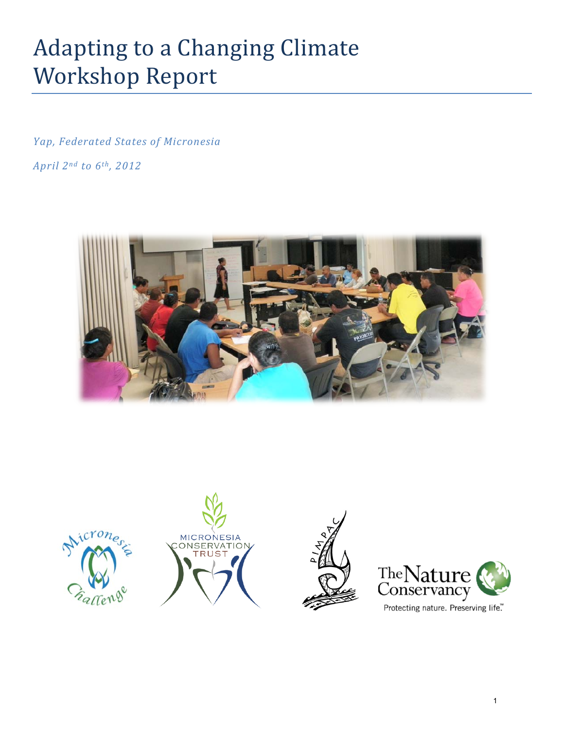# Adapting to a Changing Climate Workshop Report

*Yap, Federated States of Micronesia April 2nd to 6th, 2012*











Protecting nature. Preserving life."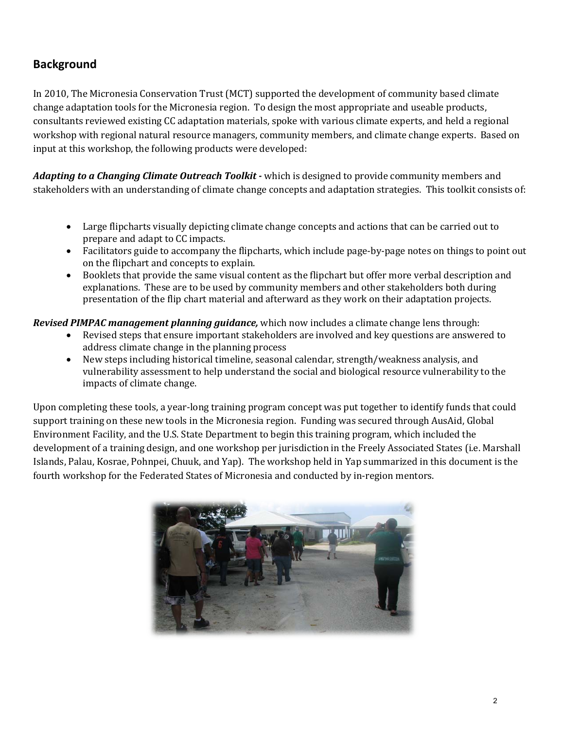# **Background**

In 2010, The Micronesia Conservation Trust (MCT) supported the development of community based climate change adaptation tools for the Micronesia region. To design the most appropriate and useable products, consultants reviewed existing CC adaptation materials, spoke with various climate experts, and held a regional workshop with regional natural resource managers, community members, and climate change experts. Based on input at this workshop, the following products were developed:

*Adapting to a Changing Climate Outreach Toolkit -* which is designed to provide community members and stakeholders with an understanding of climate change concepts and adaptation strategies. This toolkit consists of:

- Large flipcharts visually depicting climate change concepts and actions that can be carried out to prepare and adapt to CC impacts.
- Facilitators guide to accompany the flipcharts, which include page-by-page notes on things to point out on the flipchart and concepts to explain.
- Booklets that provide the same visual content as the flipchart but offer more verbal description and explanations. These are to be used by community members and other stakeholders both during presentation of the flip chart material and afterward as they work on their adaptation projects.

#### *Revised PIMPAC management planning guidance,* which now includes a climate change lens through:

- Revised steps that ensure important stakeholders are involved and key questions are answered to address climate change in the planning process
- New steps including historical timeline, seasonal calendar, strength/weakness analysis, and vulnerability assessment to help understand the social and biological resource vulnerability to the impacts of climate change.

Upon completing these tools, a year-long training program concept was put together to identify funds that could support training on these new tools in the Micronesia region. Funding was secured through AusAid, Global Environment Facility, and the U.S. State Department to begin this training program, which included the development of a training design, and one workshop per jurisdiction in the Freely Associated States (i.e. Marshall Islands, Palau, Kosrae, Pohnpei, Chuuk, and Yap). The workshop held in Yap summarized in this document is the fourth workshop for the Federated States of Micronesia and conducted by in-region mentors.

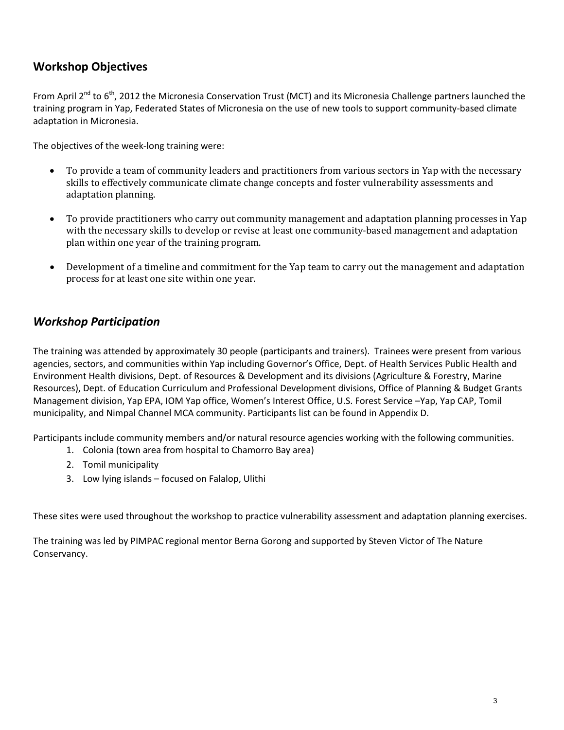# **Workshop Objectives**

From April 2<sup>nd</sup> to 6<sup>th</sup>, 2012 the Micronesia Conservation Trust (MCT) and its Micronesia Challenge partners launched the training program in Yap, Federated States of Micronesia on the use of new tools to support community-based climate adaptation in Micronesia.

The objectives of the week-long training were:

- To provide a team of community leaders and practitioners from various sectors in Yap with the necessary skills to effectively communicate climate change concepts and foster vulnerability assessments and adaptation planning.
- To provide practitioners who carry out community management and adaptation planning processes in Yap with the necessary skills to develop or revise at least one community-based management and adaptation plan within one year of the training program.
- Development of a timeline and commitment for the Yap team to carry out the management and adaptation process for at least one site within one year.

## *Workshop Participation*

The training was attended by approximately 30 people (participants and trainers). Trainees were present from various agencies, sectors, and communities within Yap including Governor's Office, Dept. of Health Services Public Health and Environment Health divisions, Dept. of Resources & Development and its divisions (Agriculture & Forestry, Marine Resources), Dept. of Education Curriculum and Professional Development divisions, Office of Planning & Budget Grants Management division, Yap EPA, IOM Yap office, Women's Interest Office, U.S. Forest Service –Yap, Yap CAP, Tomil municipality, and Nimpal Channel MCA community. Participants list can be found in Appendix D.

Participants include community members and/or natural resource agencies working with the following communities.

- 1. Colonia (town area from hospital to Chamorro Bay area)
- 2. Tomil municipality
- 3. Low lying islands focused on Falalop, Ulithi

These sites were used throughout the workshop to practice vulnerability assessment and adaptation planning exercises.

The training was led by PIMPAC regional mentor Berna Gorong and supported by Steven Victor of The Nature Conservancy.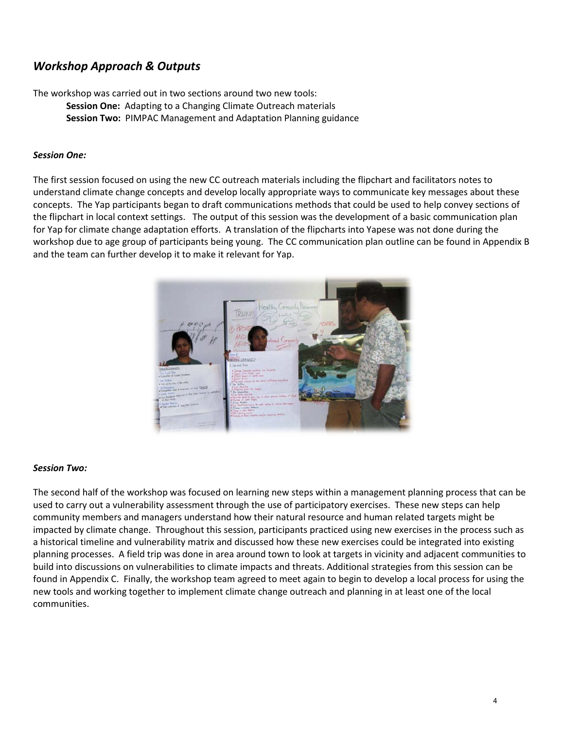## *Workshop Approach & Outputs*

The workshop was carried out in two sections around two new tools: **Session One:** Adapting to a Changing Climate Outreach materials **Session Two:** PIMPAC Management and Adaptation Planning guidance

#### *Session One:*

The first session focused on using the new CC outreach materials including the flipchart and facilitators notes to understand climate change concepts and develop locally appropriate ways to communicate key messages about these concepts. The Yap participants began to draft communications methods that could be used to help convey sections of the flipchart in local context settings. The output of this session was the development of a basic communication plan for Yap for climate change adaptation efforts. A translation of the flipcharts into Yapese was not done during the workshop due to age group of participants being young. The CC communication plan outline can be found in Appendix B and the team can further develop it to make it relevant for Yap.



#### *Session Two:*

The second half of the workshop was focused on learning new steps within a management planning process that can be used to carry out a vulnerability assessment through the use of participatory exercises. These new steps can help community members and managers understand how their natural resource and human related targets might be impacted by climate change. Throughout this session, participants practiced using new exercises in the process such as a historical timeline and vulnerability matrix and discussed how these new exercises could be integrated into existing planning processes. A field trip was done in area around town to look at targets in vicinity and adjacent communities to build into discussions on vulnerabilities to climate impacts and threats. Additional strategies from this session can be found in Appendix C. Finally, the workshop team agreed to meet again to begin to develop a local process for using the new tools and working together to implement climate change outreach and planning in at least one of the local communities.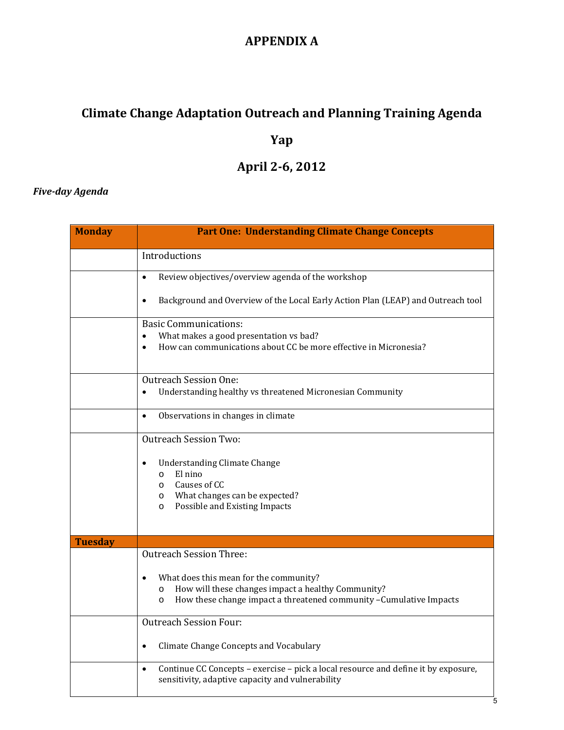# **APPENDIX A**

# **Climate Change Adaptation Outreach and Planning Training Agenda**

# **Yap**

# **April 2-6, 2012**

### *Five-day Agenda*

| <b>Monday</b>  | <b>Part One: Understanding Climate Change Concepts</b>                                                                                                                                                                      |
|----------------|-----------------------------------------------------------------------------------------------------------------------------------------------------------------------------------------------------------------------------|
|                | Introductions                                                                                                                                                                                                               |
|                | Review objectives/overview agenda of the workshop<br>$\bullet$                                                                                                                                                              |
|                | Background and Overview of the Local Early Action Plan (LEAP) and Outreach tool<br>$\bullet$                                                                                                                                |
|                | <b>Basic Communications:</b><br>What makes a good presentation vs bad?<br>$\bullet$<br>How can communications about CC be more effective in Micronesia?<br>$\bullet$                                                        |
|                | <b>Outreach Session One:</b><br>Understanding healthy vs threatened Micronesian Community<br>$\bullet$                                                                                                                      |
|                | Observations in changes in climate<br>$\bullet$                                                                                                                                                                             |
|                | <b>Outreach Session Two:</b><br><b>Understanding Climate Change</b><br>El nino<br>$\circ$<br>Causes of CC<br>$\circ$<br>What changes can be expected?<br>$\circ$<br>Possible and Existing Impacts<br>$\circ$                |
| <b>Tuesday</b> |                                                                                                                                                                                                                             |
|                | <b>Outreach Session Three:</b><br>What does this mean for the community?<br>How will these changes impact a healthy Community?<br>$\circ$<br>How these change impact a threatened community - Cumulative Impacts<br>$\circ$ |
|                | <b>Outreach Session Four:</b>                                                                                                                                                                                               |
|                | Climate Change Concepts and Vocabulary<br>$\bullet$                                                                                                                                                                         |
|                | Continue CC Concepts - exercise - pick a local resource and define it by exposure,<br>$\bullet$<br>sensitivity, adaptive capacity and vulnerability                                                                         |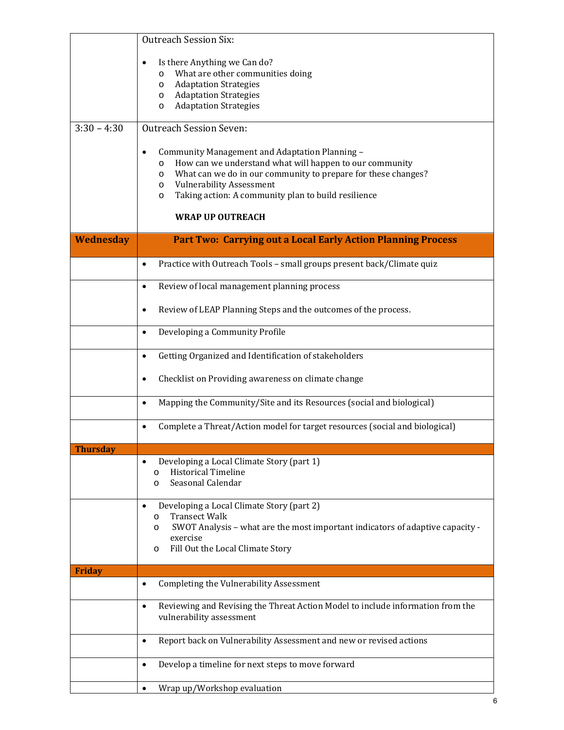|                 | <b>Outreach Session Six:</b>                                                                                                                                                                                                                                                                                                                       |  |  |  |  |  |  |
|-----------------|----------------------------------------------------------------------------------------------------------------------------------------------------------------------------------------------------------------------------------------------------------------------------------------------------------------------------------------------------|--|--|--|--|--|--|
|                 | Is there Anything we Can do?<br>$\bullet$<br>What are other communities doing<br>$\circ$<br><b>Adaptation Strategies</b><br>O<br><b>Adaptation Strategies</b><br>$\circ$<br><b>Adaptation Strategies</b><br>O                                                                                                                                      |  |  |  |  |  |  |
| $3:30 - 4:30$   | <b>Outreach Session Seven:</b>                                                                                                                                                                                                                                                                                                                     |  |  |  |  |  |  |
|                 | Community Management and Adaptation Planning -<br>$\bullet$<br>How can we understand what will happen to our community<br>$\circ$<br>What can we do in our community to prepare for these changes?<br>$\circ$<br><b>Vulnerability Assessment</b><br>O<br>Taking action: A community plan to build resilience<br>$\circ$<br><b>WRAP UP OUTREACH</b> |  |  |  |  |  |  |
| Wednesday       | <b>Part Two: Carrying out a Local Early Action Planning Process</b>                                                                                                                                                                                                                                                                                |  |  |  |  |  |  |
|                 |                                                                                                                                                                                                                                                                                                                                                    |  |  |  |  |  |  |
|                 | Practice with Outreach Tools - small groups present back/Climate quiz<br>$\bullet$                                                                                                                                                                                                                                                                 |  |  |  |  |  |  |
|                 | Review of local management planning process<br>$\bullet$                                                                                                                                                                                                                                                                                           |  |  |  |  |  |  |
|                 | Review of LEAP Planning Steps and the outcomes of the process.<br>٠                                                                                                                                                                                                                                                                                |  |  |  |  |  |  |
|                 | Developing a Community Profile<br>$\bullet$                                                                                                                                                                                                                                                                                                        |  |  |  |  |  |  |
|                 | Getting Organized and Identification of stakeholders<br>$\bullet$                                                                                                                                                                                                                                                                                  |  |  |  |  |  |  |
|                 | Checklist on Providing awareness on climate change<br>٠                                                                                                                                                                                                                                                                                            |  |  |  |  |  |  |
|                 | Mapping the Community/Site and its Resources (social and biological)<br>$\bullet$                                                                                                                                                                                                                                                                  |  |  |  |  |  |  |
|                 | Complete a Threat/Action model for target resources (social and biological)<br>$\bullet$                                                                                                                                                                                                                                                           |  |  |  |  |  |  |
| <b>Thursday</b> |                                                                                                                                                                                                                                                                                                                                                    |  |  |  |  |  |  |
|                 | Developing a Local Climate Story (part 1)<br><b>Historical Timeline</b><br>$\circ$<br>Seasonal Calendar<br>O                                                                                                                                                                                                                                       |  |  |  |  |  |  |
|                 | Developing a Local Climate Story (part 2)<br><b>Transect Walk</b><br>$\circ$<br>SWOT Analysis - what are the most important indicators of adaptive capacity -<br>O<br>exercise<br>Fill Out the Local Climate Story<br>O                                                                                                                            |  |  |  |  |  |  |
| <b>Friday</b>   | Completing the Vulnerability Assessment<br>$\bullet$                                                                                                                                                                                                                                                                                               |  |  |  |  |  |  |
|                 |                                                                                                                                                                                                                                                                                                                                                    |  |  |  |  |  |  |
|                 | Reviewing and Revising the Threat Action Model to include information from the<br>$\bullet$<br>vulnerability assessment                                                                                                                                                                                                                            |  |  |  |  |  |  |
|                 | Report back on Vulnerability Assessment and new or revised actions<br>$\bullet$                                                                                                                                                                                                                                                                    |  |  |  |  |  |  |
|                 | Develop a timeline for next steps to move forward<br>$\bullet$                                                                                                                                                                                                                                                                                     |  |  |  |  |  |  |
|                 | Wrap up/Workshop evaluation<br>$\bullet$                                                                                                                                                                                                                                                                                                           |  |  |  |  |  |  |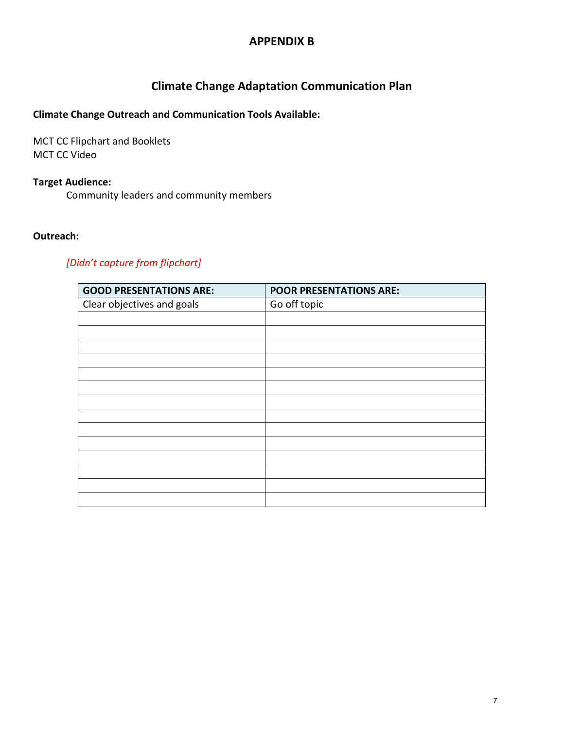## **APPENDIX B**

# **Climate Change Adaptation Communication Plan**

#### **Climate Change Outreach and Communication Tools Available:**

MCT CC Flipchart and Booklets MCT CC Video

#### **Target Audience:**

Community leaders and community members

#### **Outreach:**

#### *[Didn't capture from flipchart]*

| <b>GOOD PRESENTATIONS ARE:</b> | <b>POOR PRESENTATIONS ARE:</b> |
|--------------------------------|--------------------------------|
| Clear objectives and goals     | Go off topic                   |
|                                |                                |
|                                |                                |
|                                |                                |
|                                |                                |
|                                |                                |
|                                |                                |
|                                |                                |
|                                |                                |
|                                |                                |
|                                |                                |
|                                |                                |
|                                |                                |
|                                |                                |
|                                |                                |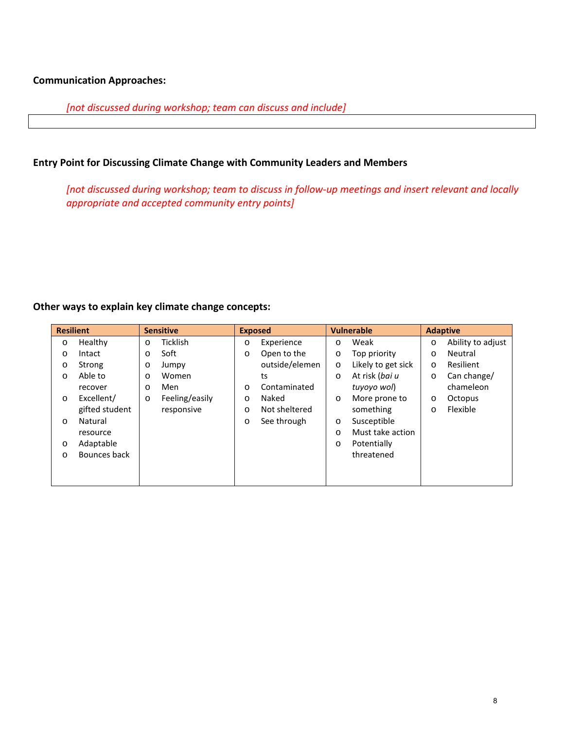#### **Communication Approaches:**

*[not discussed during workshop; team can discuss and include]* 

#### **Entry Point for Discussing Climate Change with Community Leaders and Members**

*[not discussed during workshop; team to discuss in follow-up meetings and insert relevant and locally appropriate and accepted community entry points]*

#### **Other ways to explain key climate change concepts:**

| <b>Resilient</b> |                |         | <b>Sensitive</b> | <b>Exposed</b> |                |         | <b>Vulnerable</b>  |         | <b>Adaptive</b>   |
|------------------|----------------|---------|------------------|----------------|----------------|---------|--------------------|---------|-------------------|
| O                | Healthy        | $\circ$ | Ticklish         | O              | Experience     | $\circ$ | Weak               | $\circ$ | Ability to adjust |
| O                | Intact         | O       | Soft             | O              | Open to the    | O       | Top priority       | O       | Neutral           |
| O                | Strong         | $\circ$ | Jumpy            |                | outside/elemen | $\circ$ | Likely to get sick | $\circ$ | Resilient         |
| O                | Able to        | $\circ$ | Women            |                | ts             | $\circ$ | At risk (bai u     | $\circ$ | Can change/       |
|                  | recover        | $\circ$ | Men              | O              | Contaminated   |         | tuyoyo wol)        |         | chameleon         |
| $\circ$          | Excellent/     | $\circ$ | Feeling/easily   | O              | Naked          | $\circ$ | More prone to      | O       | Octopus           |
|                  | gifted student |         | responsive       | O              | Not sheltered  |         | something          | O       | Flexible          |
| $\circ$          | Natural        |         |                  | O              | See through    | $\circ$ | Susceptible        |         |                   |
|                  | resource       |         |                  |                |                | $\circ$ | Must take action   |         |                   |
| O                | Adaptable      |         |                  |                |                | $\circ$ | Potentially        |         |                   |
| O                | Bounces back   |         |                  |                |                |         | threatened         |         |                   |
|                  |                |         |                  |                |                |         |                    |         |                   |
|                  |                |         |                  |                |                |         |                    |         |                   |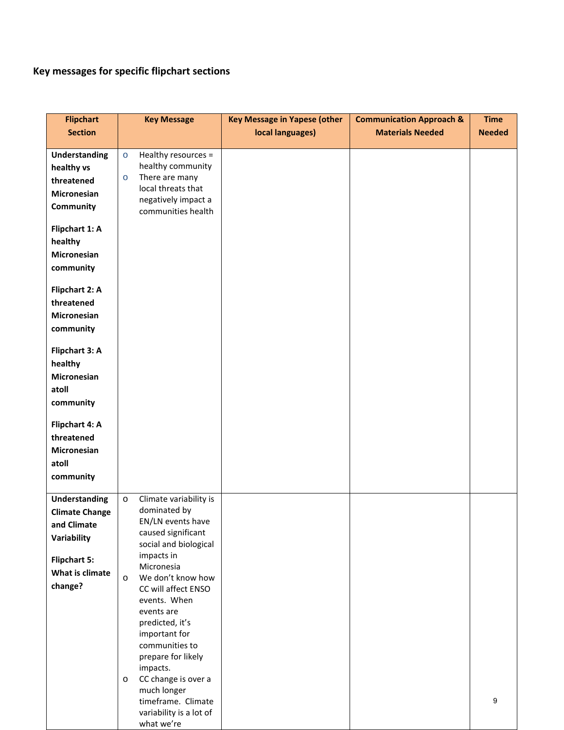# **Key messages for specific flipchart sections**

| <b>Flipchart</b>      |         | <b>Key Message</b>                          | <b>Key Message in Yapese (other</b> | <b>Communication Approach &amp;</b> | <b>Time</b>   |
|-----------------------|---------|---------------------------------------------|-------------------------------------|-------------------------------------|---------------|
| <b>Section</b>        |         |                                             | local languages)                    | <b>Materials Needed</b>             | <b>Needed</b> |
|                       |         |                                             |                                     |                                     |               |
| <b>Understanding</b>  | $\circ$ | Healthy resources =                         |                                     |                                     |               |
| healthy vs            |         | healthy community                           |                                     |                                     |               |
| threatened            | $\circ$ | There are many                              |                                     |                                     |               |
| <b>Micronesian</b>    |         | local threats that                          |                                     |                                     |               |
| Community             |         | negatively impact a<br>communities health   |                                     |                                     |               |
|                       |         |                                             |                                     |                                     |               |
| Flipchart 1: A        |         |                                             |                                     |                                     |               |
| healthy               |         |                                             |                                     |                                     |               |
| <b>Micronesian</b>    |         |                                             |                                     |                                     |               |
| community             |         |                                             |                                     |                                     |               |
|                       |         |                                             |                                     |                                     |               |
| Flipchart 2: A        |         |                                             |                                     |                                     |               |
| threatened            |         |                                             |                                     |                                     |               |
| <b>Micronesian</b>    |         |                                             |                                     |                                     |               |
| community             |         |                                             |                                     |                                     |               |
|                       |         |                                             |                                     |                                     |               |
| Flipchart 3: A        |         |                                             |                                     |                                     |               |
| healthy               |         |                                             |                                     |                                     |               |
| <b>Micronesian</b>    |         |                                             |                                     |                                     |               |
| atoll                 |         |                                             |                                     |                                     |               |
| community             |         |                                             |                                     |                                     |               |
|                       |         |                                             |                                     |                                     |               |
| Flipchart 4: A        |         |                                             |                                     |                                     |               |
| threatened            |         |                                             |                                     |                                     |               |
| <b>Micronesian</b>    |         |                                             |                                     |                                     |               |
| atoll                 |         |                                             |                                     |                                     |               |
| community             |         |                                             |                                     |                                     |               |
|                       |         |                                             |                                     |                                     |               |
| <b>Understanding</b>  | $\circ$ | Climate variability is                      |                                     |                                     |               |
| <b>Climate Change</b> |         | dominated by                                |                                     |                                     |               |
| and Climate           |         | EN/LN events have                           |                                     |                                     |               |
| Variability           |         | caused significant<br>social and biological |                                     |                                     |               |
|                       |         | impacts in                                  |                                     |                                     |               |
| <b>Flipchart 5:</b>   |         | Micronesia                                  |                                     |                                     |               |
| What is climate       | $\circ$ | We don't know how                           |                                     |                                     |               |
| change?               |         | CC will affect ENSO                         |                                     |                                     |               |
|                       |         | events. When                                |                                     |                                     |               |
|                       |         | events are                                  |                                     |                                     |               |
|                       |         | predicted, it's                             |                                     |                                     |               |
|                       |         | important for                               |                                     |                                     |               |
|                       |         | communities to                              |                                     |                                     |               |
|                       |         | prepare for likely<br>impacts.              |                                     |                                     |               |
|                       | $\circ$ | CC change is over a                         |                                     |                                     |               |
|                       |         | much longer                                 |                                     |                                     |               |
|                       |         | timeframe. Climate                          |                                     |                                     | 9             |
|                       |         | variability is a lot of                     |                                     |                                     |               |
|                       |         | what we're                                  |                                     |                                     |               |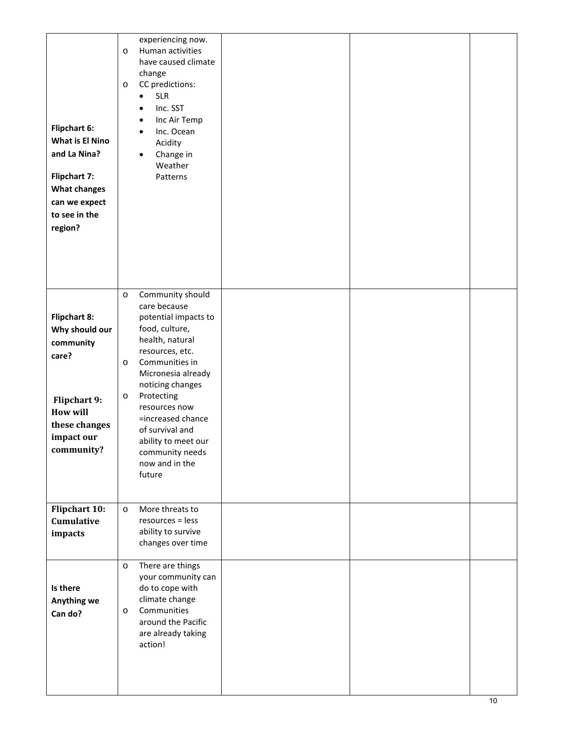| <b>Flipchart 6:</b><br>What is El Nino<br>and La Nina?<br><b>Flipchart 7:</b><br><b>What changes</b><br>can we expect<br>to see in the<br>region? | experiencing now.<br>Human activities<br>$\circ$<br>have caused climate<br>change<br>CC predictions:<br>$\circ$<br><b>SLR</b><br>$\bullet$<br>Inc. SST<br>$\bullet$<br>Inc Air Temp<br>$\bullet$<br>Inc. Ocean<br>$\bullet$<br>Acidity<br>Change in<br>$\bullet$<br>Weather<br>Patterns                                                                    |  |
|---------------------------------------------------------------------------------------------------------------------------------------------------|------------------------------------------------------------------------------------------------------------------------------------------------------------------------------------------------------------------------------------------------------------------------------------------------------------------------------------------------------------|--|
| <b>Flipchart 8:</b><br>Why should our<br>community<br>care?<br>Flipchart 9:<br><b>How will</b><br>these changes<br>impact our<br>community?       | Community should<br>$\circ$<br>care because<br>potential impacts to<br>food, culture,<br>health, natural<br>resources, etc.<br>Communities in<br>$\circ$<br>Micronesia already<br>noticing changes<br>Protecting<br>$\circ$<br>resources now<br>=increased chance<br>of survival and<br>ability to meet our<br>community needs<br>now and in the<br>future |  |
| Flipchart 10:<br>Cumulative<br>impacts                                                                                                            | More threats to<br>$\circ$<br>resources = less<br>ability to survive<br>changes over time                                                                                                                                                                                                                                                                  |  |
| Is there<br>Anything we<br>Can do?                                                                                                                | There are things<br>$\circ$<br>your community can<br>do to cope with<br>climate change<br>Communities<br>$\circ$<br>around the Pacific<br>are already taking<br>action!                                                                                                                                                                                    |  |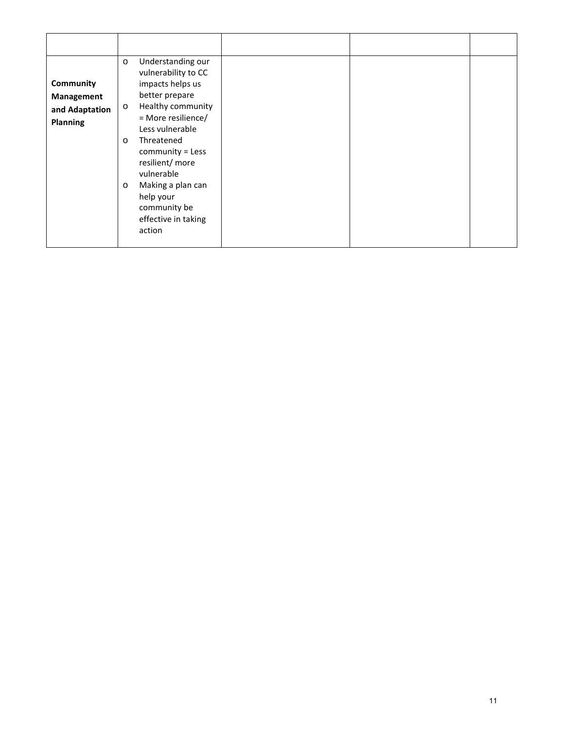| Community<br>Management<br>and Adaptation<br><b>Planning</b> | Understanding our<br>$\circ$<br>vulnerability to CC<br>impacts helps us<br>better prepare<br>Healthy community<br>$\circ$<br>= More resilience/<br>Less vulnerable<br>Threatened<br>$\circ$<br>community = Less<br>resilient/ more<br>vulnerable<br>Making a plan can<br>$\circ$<br>help your<br>community be<br>effective in taking<br>action |  |  |
|--------------------------------------------------------------|------------------------------------------------------------------------------------------------------------------------------------------------------------------------------------------------------------------------------------------------------------------------------------------------------------------------------------------------|--|--|